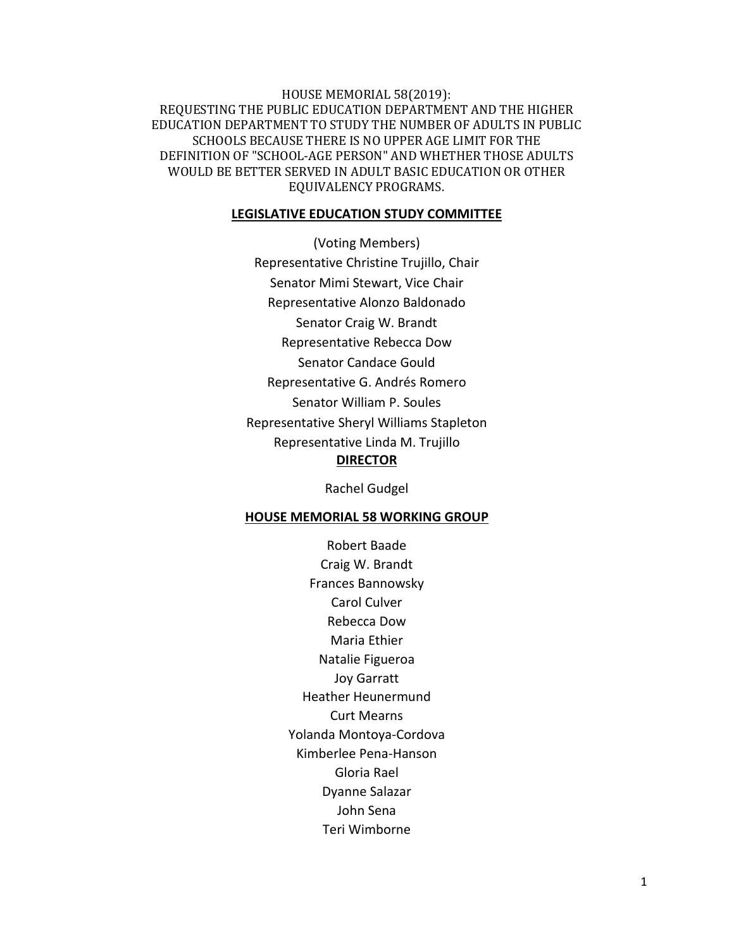HOUSE MEMORIAL 58(2019): REQUESTING THE PUBLIC EDUCATION DEPARTMENT AND THE HIGHER EDUCATION DEPARTMENT TO STUDY THE NUMBER OF ADULTS IN PUBLIC SCHOOLS BECAUSE THERE IS NO UPPER AGE LIMIT FOR THE DEFINITION OF "SCHOOL-AGE PERSON" AND WHETHER THOSE ADULTS WOULD BE BETTER SERVED IN ADULT BASIC EDUCATION OR OTHER EQUIVALENCY PROGRAMS.

#### **LEGISLATIVE EDUCATION STUDY COMMITTEE**

(Voting Members) Representative Christine Trujillo, Chair Senator Mimi Stewart, Vice Chair Representative Alonzo Baldonado Senator Craig W. Brandt Representative Rebecca Dow Senator Candace Gould Representative G. Andrés Romero Senator William P. Soules Representative Sheryl Williams Stapleton Representative Linda M. Trujillo **DIRECTOR**

Rachel Gudgel

#### **HOUSE MEMORIAL 58 WORKING GROUP**

Robert Baade Craig W. Brandt Frances Bannowsky Carol Culver Rebecca Dow Maria Ethier Natalie Figueroa Joy Garratt Heather Heunermund Curt Mearns Yolanda Montoya-Cordova Kimberlee Pena-Hanson Gloria Rael Dyanne Salazar John Sena Teri Wimborne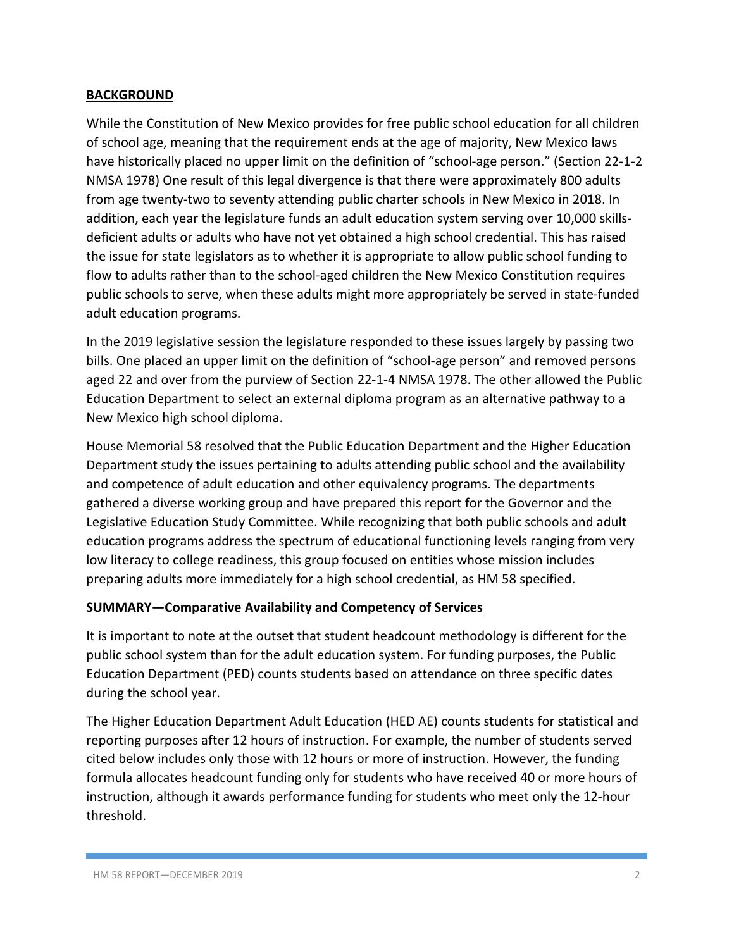## **BACKGROUND**

While the Constitution of New Mexico provides for free public school education for all children of school age, meaning that the requirement ends at the age of majority, New Mexico laws have historically placed no upper limit on the definition of "school-age person." (Section 22-1-2 NMSA 1978) One result of this legal divergence is that there were approximately 800 adults from age twenty-two to seventy attending public charter schools in New Mexico in 2018. In addition, each year the legislature funds an adult education system serving over 10,000 skillsdeficient adults or adults who have not yet obtained a high school credential. This has raised the issue for state legislators as to whether it is appropriate to allow public school funding to flow to adults rather than to the school-aged children the New Mexico Constitution requires public schools to serve, when these adults might more appropriately be served in state-funded adult education programs.

In the 2019 legislative session the legislature responded to these issues largely by passing two bills. One placed an upper limit on the definition of "school-age person" and removed persons aged 22 and over from the purview of Section 22-1-4 NMSA 1978. The other allowed the Public Education Department to select an external diploma program as an alternative pathway to a New Mexico high school diploma.

House Memorial 58 resolved that the Public Education Department and the Higher Education Department study the issues pertaining to adults attending public school and the availability and competence of adult education and other equivalency programs. The departments gathered a diverse working group and have prepared this report for the Governor and the Legislative Education Study Committee. While recognizing that both public schools and adult education programs address the spectrum of educational functioning levels ranging from very low literacy to college readiness, this group focused on entities whose mission includes preparing adults more immediately for a high school credential, as HM 58 specified.

### **SUMMARY—Comparative Availability and Competency of Services**

It is important to note at the outset that student headcount methodology is different for the public school system than for the adult education system. For funding purposes, the Public Education Department (PED) counts students based on attendance on three specific dates during the school year.

The Higher Education Department Adult Education (HED AE) counts students for statistical and reporting purposes after 12 hours of instruction. For example, the number of students served cited below includes only those with 12 hours or more of instruction. However, the funding formula allocates headcount funding only for students who have received 40 or more hours of instruction, although it awards performance funding for students who meet only the 12-hour threshold.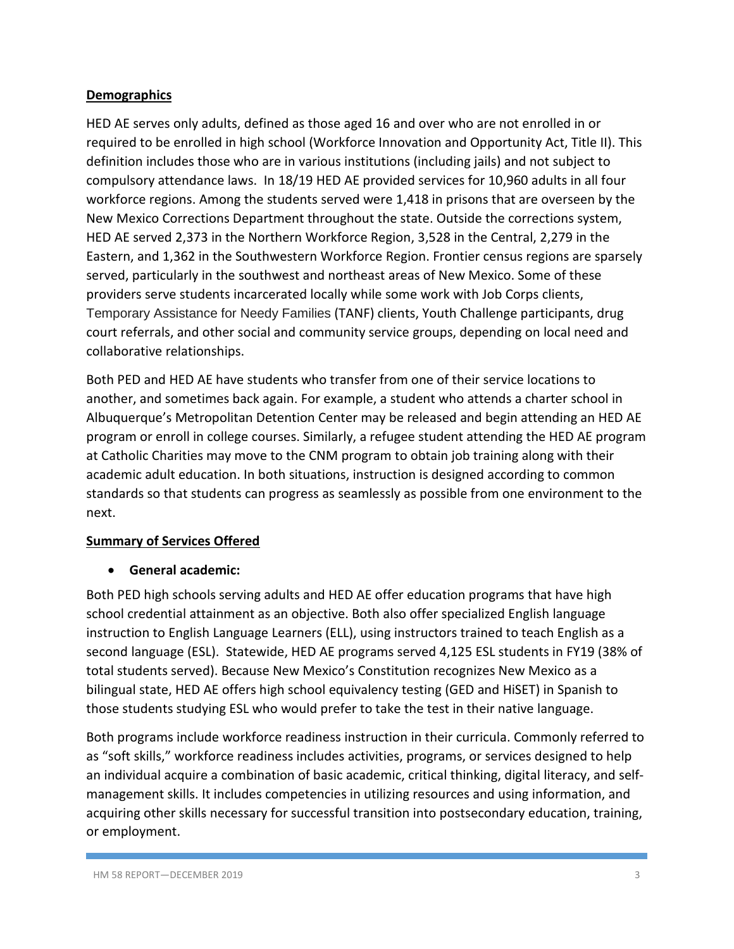## **Demographics**

HED AE serves only adults, defined as those aged 16 and over who are not enrolled in or required to be enrolled in high school (Workforce Innovation and Opportunity Act, Title II). This definition includes those who are in various institutions (including jails) and not subject to compulsory attendance laws. In 18/19 HED AE provided services for 10,960 adults in all four workforce regions. Among the students served were 1,418 in prisons that are overseen by the New Mexico Corrections Department throughout the state. Outside the corrections system, HED AE served 2,373 in the Northern Workforce Region, 3,528 in the Central, 2,279 in the Eastern, and 1,362 in the Southwestern Workforce Region. Frontier census regions are sparsely served, particularly in the southwest and northeast areas of New Mexico. Some of these providers serve students incarcerated locally while some work with Job Corps clients, Temporary Assistance for Needy Families (TANF) clients, Youth Challenge participants, drug court referrals, and other social and community service groups, depending on local need and collaborative relationships.

Both PED and HED AE have students who transfer from one of their service locations to another, and sometimes back again. For example, a student who attends a charter school in Albuquerque's Metropolitan Detention Center may be released and begin attending an HED AE program or enroll in college courses. Similarly, a refugee student attending the HED AE program at Catholic Charities may move to the CNM program to obtain job training along with their academic adult education. In both situations, instruction is designed according to common standards so that students can progress as seamlessly as possible from one environment to the next.

# **Summary of Services Offered**

### • **General academic:**

Both PED high schools serving adults and HED AE offer education programs that have high school credential attainment as an objective. Both also offer specialized English language instruction to English Language Learners (ELL), using instructors trained to teach English as a second language (ESL). Statewide, HED AE programs served 4,125 ESL students in FY19 (38% of total students served). Because New Mexico's Constitution recognizes New Mexico as a bilingual state, HED AE offers high school equivalency testing (GED and HiSET) in Spanish to those students studying ESL who would prefer to take the test in their native language.

Both programs include workforce readiness instruction in their curricula. Commonly referred to as "soft skills," workforce readiness includes activities, programs, or services designed to help an individual acquire a combination of basic academic, critical thinking, digital literacy, and selfmanagement skills. It includes competencies in utilizing resources and using information, and acquiring other skills necessary for successful transition into postsecondary education, training, or employment.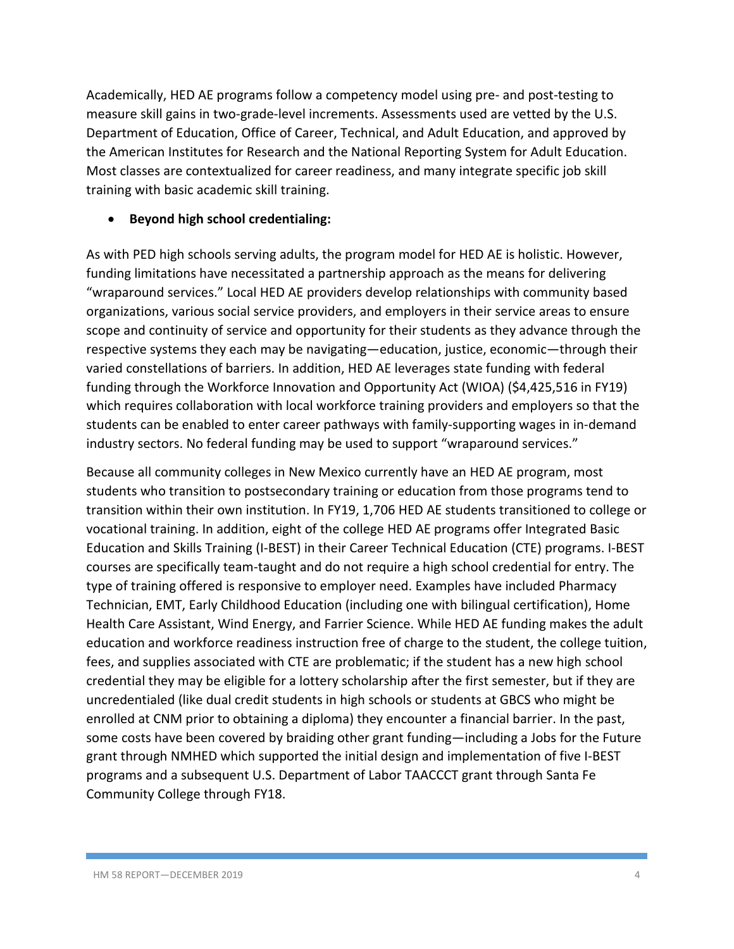Academically, HED AE programs follow a competency model using pre- and post-testing to measure skill gains in two-grade-level increments. Assessments used are vetted by the U.S. Department of Education, Office of Career, Technical, and Adult Education, and approved by the American Institutes for Research and the National Reporting System for Adult Education. Most classes are contextualized for career readiness, and many integrate specific job skill training with basic academic skill training.

## • **Beyond high school credentialing:**

As with PED high schools serving adults, the program model for HED AE is holistic. However, funding limitations have necessitated a partnership approach as the means for delivering "wraparound services." Local HED AE providers develop relationships with community based organizations, various social service providers, and employers in their service areas to ensure scope and continuity of service and opportunity for their students as they advance through the respective systems they each may be navigating—education, justice, economic—through their varied constellations of barriers. In addition, HED AE leverages state funding with federal funding through the Workforce Innovation and Opportunity Act (WIOA) (\$4,425,516 in FY19) which requires collaboration with local workforce training providers and employers so that the students can be enabled to enter career pathways with family-supporting wages in in-demand industry sectors. No federal funding may be used to support "wraparound services."

Because all community colleges in New Mexico currently have an HED AE program, most students who transition to postsecondary training or education from those programs tend to transition within their own institution. In FY19, 1,706 HED AE students transitioned to college or vocational training. In addition, eight of the college HED AE programs offer Integrated Basic Education and Skills Training (I-BEST) in their Career Technical Education (CTE) programs. I-BEST courses are specifically team-taught and do not require a high school credential for entry. The type of training offered is responsive to employer need. Examples have included Pharmacy Technician, EMT, Early Childhood Education (including one with bilingual certification), Home Health Care Assistant, Wind Energy, and Farrier Science. While HED AE funding makes the adult education and workforce readiness instruction free of charge to the student, the college tuition, fees, and supplies associated with CTE are problematic; if the student has a new high school credential they may be eligible for a lottery scholarship after the first semester, but if they are uncredentialed (like dual credit students in high schools or students at GBCS who might be enrolled at CNM prior to obtaining a diploma) they encounter a financial barrier. In the past, some costs have been covered by braiding other grant funding—including a Jobs for the Future grant through NMHED which supported the initial design and implementation of five I-BEST programs and a subsequent U.S. Department of Labor TAACCCT grant through Santa Fe Community College through FY18.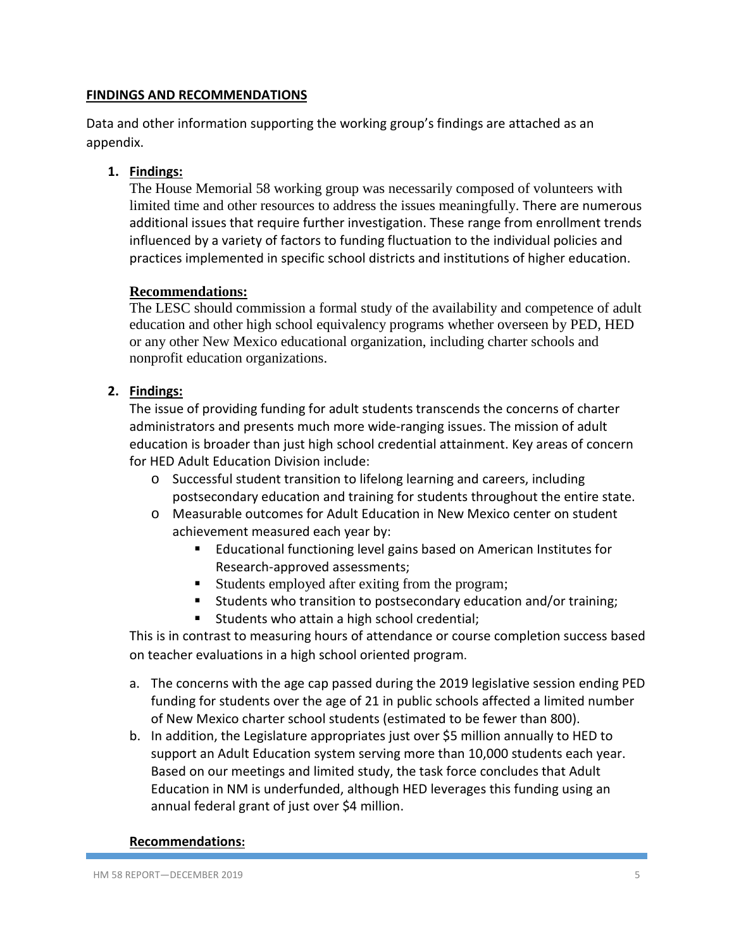### **FINDINGS AND RECOMMENDATIONS**

Data and other information supporting the working group's findings are attached as an appendix.

## **1. Findings:**

The House Memorial 58 working group was necessarily composed of volunteers with limited time and other resources to address the issues meaningfully. There are numerous additional issues that require further investigation. These range from enrollment trends influenced by a variety of factors to funding fluctuation to the individual policies and practices implemented in specific school districts and institutions of higher education.

## **Recommendations:**

The LESC should commission a formal study of the availability and competence of adult education and other high school equivalency programs whether overseen by PED, HED or any other New Mexico educational organization, including charter schools and nonprofit education organizations.

## **2. Findings:**

The issue of providing funding for adult students transcends the concerns of charter administrators and presents much more wide-ranging issues. The mission of adult education is broader than just high school credential attainment. Key areas of concern for HED Adult Education Division include:

- o Successful student transition to lifelong learning and careers, including postsecondary education and training for students throughout the entire state.
- o Measurable outcomes for Adult Education in New Mexico center on student achievement measured each year by:
	- Educational functioning level gains based on American Institutes for Research-approved assessments;
	- Students employed after exiting from the program;
	- Students who transition to postsecondary education and/or training;
	- **Students who attain a high school credential;**

This is in contrast to measuring hours of attendance or course completion success based on teacher evaluations in a high school oriented program.

- a. The concerns with the age cap passed during the 2019 legislative session ending PED funding for students over the age of 21 in public schools affected a limited number of New Mexico charter school students (estimated to be fewer than 800).
- b. In addition, the Legislature appropriates just over \$5 million annually to HED to support an Adult Education system serving more than 10,000 students each year. Based on our meetings and limited study, the task force concludes that Adult Education in NM is underfunded, although HED leverages this funding using an annual federal grant of just over \$4 million.

### **Recommendations:**